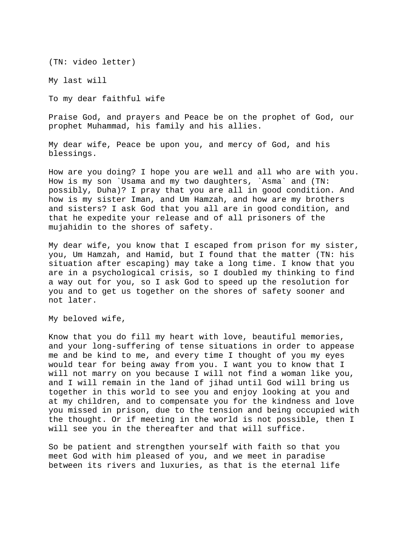(TN: video letter)

My last will

To my dear faithful wife

Praise God, and prayers and Peace be on the prophet of God, our prophet Muhammad, his family and his allies.

My dear wife, Peace be upon you, and mercy of God, and his blessings.

How are you doing? I hope you are well and all who are with you. How is my son `Usama and my two daughters, `Asma` and (TN: possibly, Duha)? I pray that you are all in good condition. And how is my sister Iman, and Um Hamzah, and how are my brothers and sisters? I ask God that you all are in good condition, and that he expedite your release and of all prisoners of the mujahidin to the shores of safety.

My dear wife, you know that I escaped from prison for my sister, you, Um Hamzah, and Hamid, but I found that the matter (TN: his situation after escaping) may take a long time. I know that you are in a psychological crisis, so I doubled my thinking to find a way out for you, so I ask God to speed up the resolution for you and to get us together on the shores of safety sooner and not later.

My beloved wife,

Know that you do fill my heart with love, beautiful memories, and your long-suffering of tense situations in order to appease me and be kind to me, and every time I thought of you my eyes would tear for being away from you. I want you to know that I will not marry on you because I will not find a woman like you, and I will remain in the land of jihad until God will bring us together in this world to see you and enjoy looking at you and at my children, and to compensate you for the kindness and love you missed in prison, due to the tension and being occupied with the thought. Or if meeting in the world is not possible, then I will see you in the thereafter and that will suffice.

So be patient and strengthen yourself with faith so that you meet God with him pleased of you, and we meet in paradise between its rivers and luxuries, as that is the eternal life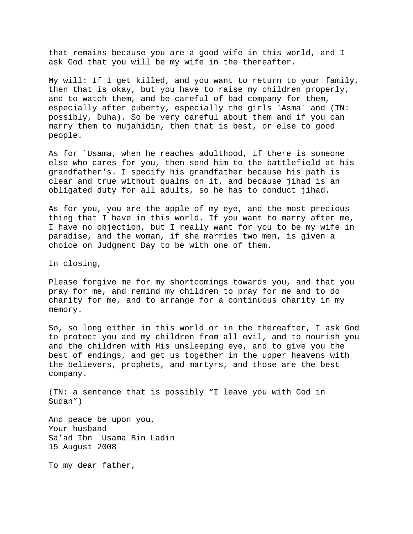that remains because you are a good wife in this world, and I ask God that you will be my wife in the thereafter.

My will: If I get killed, and you want to return to your family, then that is okay, but you have to raise my children properly, and to watch them, and be careful of bad company for them, especially after puberty, especially the girls `Asma` and (TN: possibly, Duha). So be very careful about them and if you can marry them to mujahidin, then that is best, or else to good people.

As for `Usama, when he reaches adulthood, if there is someone else who cares for you, then send him to the battlefield at his grandfather's. I specify his grandfather because his path is clear and true without qualms on it, and because jihad is an obligated duty for all adults, so he has to conduct jihad.

As for you, you are the apple of my eye, and the most precious thing that I have in this world. If you want to marry after me, I have no objection, but I really want for you to be my wife in paradise, and the woman, if she marries two men, is given a choice on Judgment Day to be with one of them.

In closing,

Please forgive me for my shortcomings towards you, and that you pray for me, and remind my children to pray for me and to do charity for me, and to arrange for a continuous charity in my memory.

So, so long either in this world or in the thereafter, I ask God to protect you and my children from all evil, and to nourish you and the children with His unsleeping eye, and to give you the best of endings, and get us together in the upper heavens with the believers, prophets, and martyrs, and those are the best company.

(TN: a sentence that is possibly "I leave you with God in Sudan")

And peace be upon you, Your husband Sa'ad Ibn `Usama Bin Ladin 15 August 2008

To my dear father,